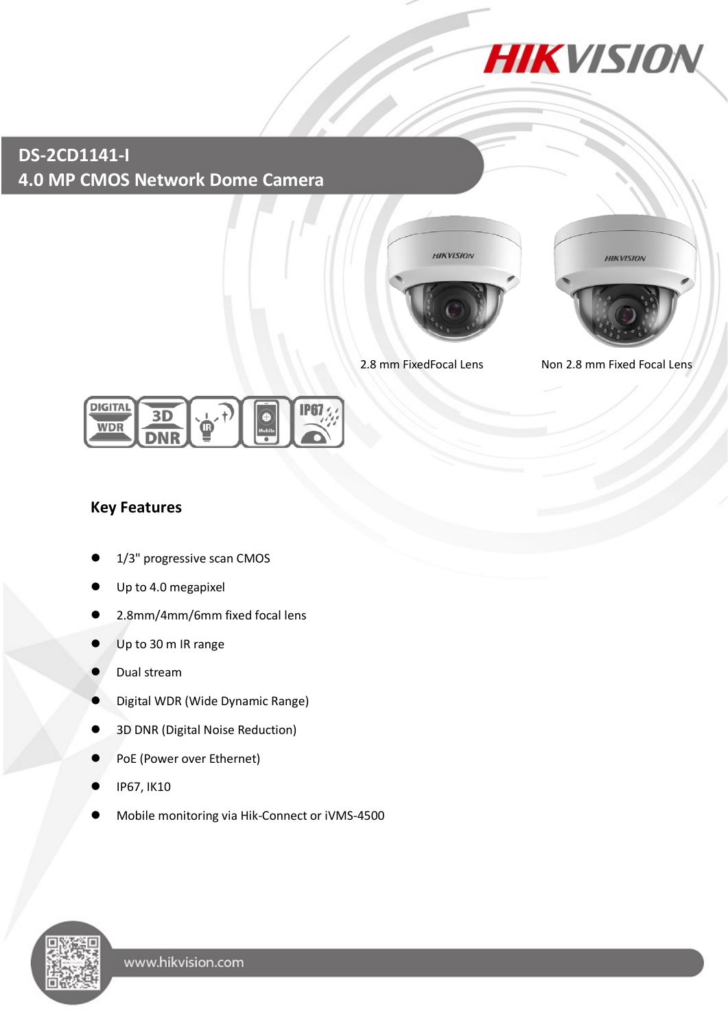

# **DS-2CD1141-I 4.0 MP CMOS Network Dome Camera**





2.8 mm FixedFocal Lens Non 2.8 mm Fixed Focal Lens



### **Key Features**

- 1/3" progressive scan CMOS
- Up to 4.0 megapixel
- 2.8mm/4mm/6mm fixed focal lens
- Up to 30 m IR range
- Dual stream
- Digital WDR (Wide Dynamic Range)
- 3D DNR (Digital Noise Reduction)
- PoE (Power over Ethernet)
- IP67, IK10
- Mobile monitoring via Hik-Connect or iVMS-4500

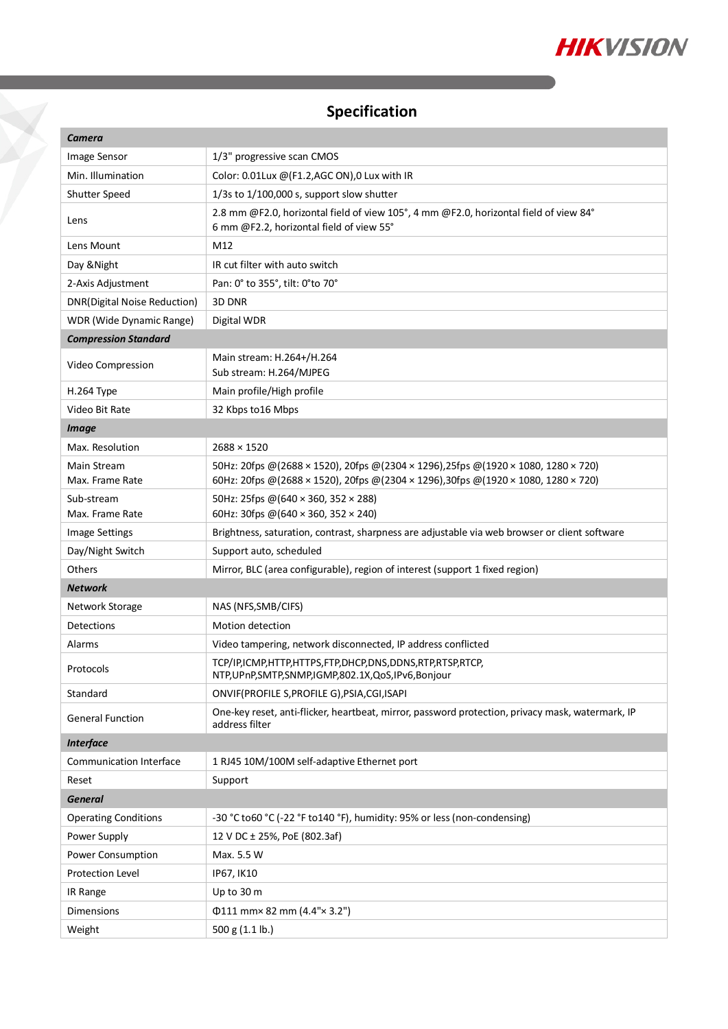

# **Specification**

| <b>Camera</b>                       |                                                                                                                                                                        |
|-------------------------------------|------------------------------------------------------------------------------------------------------------------------------------------------------------------------|
| Image Sensor                        | 1/3" progressive scan CMOS                                                                                                                                             |
| Min. Illumination                   | Color: 0.01Lux @(F1.2,AGC ON),0 Lux with IR                                                                                                                            |
| Shutter Speed                       | $1/3s$ to $1/100,000$ s, support slow shutter                                                                                                                          |
| Lens                                | 2.8 mm @F2.0, horizontal field of view 105°, 4 mm @F2.0, horizontal field of view 84°<br>6 mm @F2.2, horizontal field of view 55°                                      |
| Lens Mount                          | M12                                                                                                                                                                    |
| Day & Night                         | IR cut filter with auto switch                                                                                                                                         |
| 2-Axis Adjustment                   | Pan: 0° to 355°, tilt: 0° to 70°                                                                                                                                       |
| <b>DNR(Digital Noise Reduction)</b> | 3D DNR                                                                                                                                                                 |
| WDR (Wide Dynamic Range)            | Digital WDR                                                                                                                                                            |
| <b>Compression Standard</b>         |                                                                                                                                                                        |
| Video Compression                   | Main stream: H.264+/H.264<br>Sub stream: H.264/MJPEG                                                                                                                   |
| H.264 Type                          | Main profile/High profile                                                                                                                                              |
| Video Bit Rate                      | 32 Kbps to 16 Mbps                                                                                                                                                     |
| <b>Image</b>                        |                                                                                                                                                                        |
| Max. Resolution                     | $2688 \times 1520$                                                                                                                                                     |
| Main Stream<br>Max. Frame Rate      | 50Hz: 20fps @(2688 × 1520), 20fps @(2304 × 1296),25fps @(1920 × 1080, 1280 × 720)<br>60Hz: 20fps @(2688 × 1520), 20fps @(2304 × 1296),30fps @(1920 × 1080, 1280 × 720) |
| Sub-stream<br>Max. Frame Rate       | 50Hz: 25fps @(640 × 360, 352 × 288)<br>60Hz: 30fps @(640 × 360, 352 × 240)                                                                                             |
| <b>Image Settings</b>               | Brightness, saturation, contrast, sharpness are adjustable via web browser or client software                                                                          |
| Day/Night Switch                    | Support auto, scheduled                                                                                                                                                |
| Others                              | Mirror, BLC (area configurable), region of interest (support 1 fixed region)                                                                                           |
| <b>Network</b>                      |                                                                                                                                                                        |
| Network Storage                     | NAS (NFS, SMB/CIFS)                                                                                                                                                    |
| Detections                          | Motion detection                                                                                                                                                       |
| Alarms                              | Video tampering, network disconnected, IP address conflicted                                                                                                           |
| Protocols                           | TCP/IP,ICMP,HTTP,HTTPS,FTP,DHCP,DNS,DDNS,RTP,RTSP,RTCP,<br>NTP, UPnP, SMTP, SNMP, IGMP, 802.1X, QoS, IPv6, Bonjour                                                     |
| Standard                            | ONVIF(PROFILE S, PROFILE G), PSIA, CGI, ISAPI                                                                                                                          |
| <b>General Function</b>             | One-key reset, anti-flicker, heartbeat, mirror, password protection, privacy mask, watermark, IP<br>address filter                                                     |
| <b>Interface</b>                    |                                                                                                                                                                        |
| <b>Communication Interface</b>      | 1 RJ45 10M/100M self-adaptive Ethernet port                                                                                                                            |
| Reset                               | Support                                                                                                                                                                |
| <b>General</b>                      |                                                                                                                                                                        |
| <b>Operating Conditions</b>         | -30 °C to60 °C (-22 °F to140 °F), humidity: 95% or less (non-condensing)                                                                                               |
| Power Supply                        | 12 V DC ± 25%, PoE (802.3af)                                                                                                                                           |
| Power Consumption                   | Max. 5.5 W                                                                                                                                                             |
| Protection Level                    | IP67, IK10                                                                                                                                                             |
| IR Range                            | Up to 30 m                                                                                                                                                             |
| <b>Dimensions</b>                   | $\Phi$ 111 mm× 82 mm (4.4"× 3.2")                                                                                                                                      |
| Weight                              | 500 g (1.1 lb.)                                                                                                                                                        |